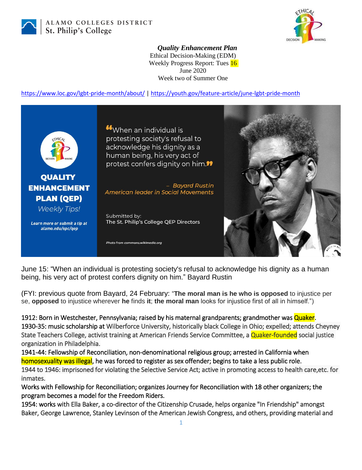

ALAMO COLLEGES DISTRICT St. Philip's College



## *Quality Enhancement Plan*

Ethical Decision-Making (EDM) Weekly Progress Report: Tues 16 June 2020 Week two of Summer One

<https://www.loc.gov/lgbt-pride-month/about/> |<https://youth.gov/feature-article/june-lgbt-pride-month>



June 15: "When an individual is protesting society's refusal to acknowledge his dignity as a human being, his very act of protest confers dignity on him." Bayard Rustin

(FYI: previous quote from Bayard, 24 February: "**The moral man is he who is opposed** to injustice per se, **opposed** to injustice wherever **he** finds **it**; **the moral man** looks for injustice first of all in himself.")

1912: Born in Westchester, Pennsylvania; raised by his maternal grandparents; grandmother was Quaker. 1930-35: music scholarship at Wilberforce University, historically black College in Ohio; expelled; attends Cheyney State Teachers College, activist training at American Friends Service Committee, a Quaker-founded social justice organization in Philadelphia.

1941-44: Fellowship of Reconciliation, non-denominational religious group; arrested in California when homosexuality was illegal, he was forced to register as sex offender; begins to take a less public role. 1944 to 1946: imprisoned for violating the Selective Service Act; active in promoting access to health care,etc. for inmates.

Works with Fellowship for Reconciliation; organizes Journey for Reconciliation with 18 other organizers; the program becomes a model for the Freedom Riders.

1954: works with Ella Baker, a co-director of the Citizenship Crusade, helps organize "In Friendship" amongst Baker, George Lawrence, Stanley Levinson of the American Jewish Congress, and others, providing material and